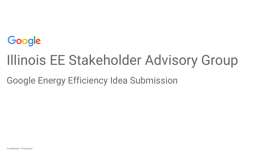

# Illinois EE Stakeholder Advisory Group

Google Energy Efficiency Idea Submission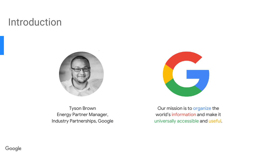## Introduction





Tyson Brown Energy Partner Manager, Industry Partnerships, Google

Our mission is to organize the world's information and make it universally accessible and useful.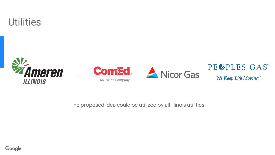







### PECPLES GAS®

We Keep Life Moving®

The proposed idea could be utilized by all Illinois utilities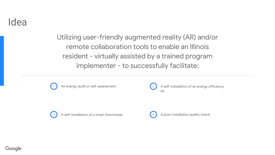Idea

Utilizing user-friendly augmented reality (AR) and/or remote collaboration tools to enable an Illinois resident - virtually assisted by a trained program implementer - to successfully facilitate:





An energy audit or self-assessment  $\binom{2}{3}$  A self-installation of an energy efficiency kit



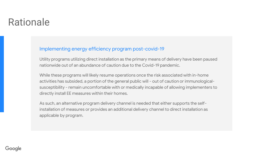## Rationale

#### Implementing energy efficiency program post-covid-19

Utility programs utilizing direct installation as the primary means of delivery have been paused nationwide out of an abundance of caution due to the Covid-19 pandemic.

While these programs will likely resume operations once the risk associated with in-home activities has subsided, a portion of the general public will - out of caution or immunologicalsusceptibility - remain uncomfortable with or medically incapable of allowing implementers to directly install EE measures within their homes.

As such, an alternative program delivery channel is needed that either supports the selfinstallation of measures or provides an additional delivery channel to direct installation as applicable by program.